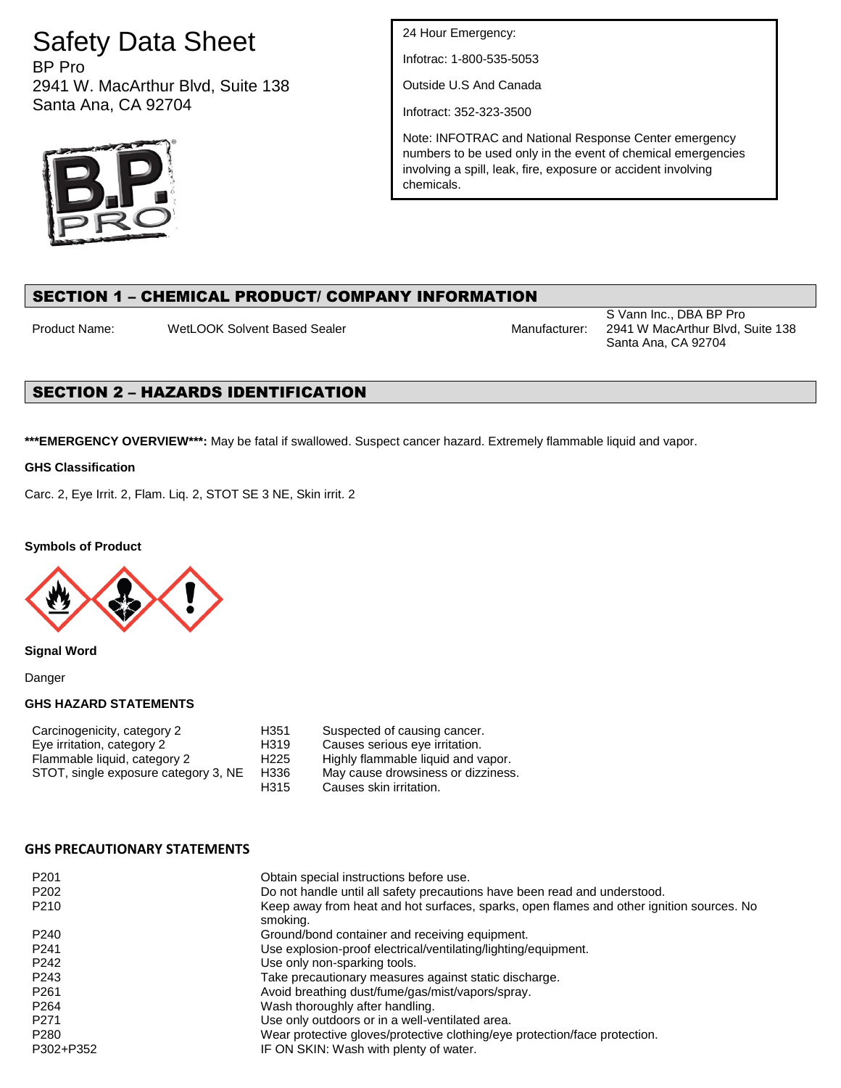# Safety Data Sheet

BP Pro 2941 W. MacArthur Blvd, Suite 138 Santa Ana, CA 92704



24 Hour Emergency:

Infotrac: 1-800-535-5053

Outside U.S And Canada

Infotract: 352-323-3500

Note: INFOTRAC and National Response Center emergency numbers to be used only in the event of chemical emergencies involving a spill, leak, fire, exposure or accident involving chemicals.

# SECTION 1 – CHEMICAL PRODUCT/ COMPANY INFORMATION

Product Name: WetLOOK Solvent Based Sealer Manufacturer: Manufacturer:

S Vann Inc., DBA BP Pro 2941 W MacArthur Blvd, Suite 138 Santa Ana, CA 92704

# SECTION 2 – HAZARDS IDENTIFICATION

\*\*\***EMERGENCY OVERVIEW\*\*\*:** May be fatal if swallowed. Suspect cancer hazard. Extremely flammable liquid and vapor.

### **GHS Classification**

Carc. 2, Eye Irrit. 2, Flam. Liq. 2, STOT SE 3 NE, Skin irrit. 2

### **Symbols of Product**



**Signal Word**

Danger

### **GHS HAZARD STATEMENTS**

| Carcinogenicity, category 2          | H351             | Suspected of causing cancer.       |
|--------------------------------------|------------------|------------------------------------|
| Eye irritation, category 2           | H319             | Causes serious eye irritation.     |
| Flammable liquid, category 2         | H <sub>225</sub> | Highly flammable liquid and vapor. |
| STOT, single exposure category 3, NE | H336             | May cause drowsiness or dizziness. |
|                                      | H315             | Causes skin irritation.            |

### **GHS PRECAUTIONARY STATEMENTS**

| P <sub>201</sub> | Obtain special instructions before use.                                                              |
|------------------|------------------------------------------------------------------------------------------------------|
| P <sub>202</sub> | Do not handle until all safety precautions have been read and understood.                            |
| P <sub>210</sub> | Keep away from heat and hot surfaces, sparks, open flames and other ignition sources. No<br>smoking. |
| P <sub>240</sub> | Ground/bond container and receiving equipment.                                                       |
| P <sub>241</sub> | Use explosion-proof electrical/ventilating/lighting/equipment.                                       |
| P242             | Use only non-sparking tools.                                                                         |
| P <sub>243</sub> | Take precautionary measures against static discharge.                                                |
| P <sub>261</sub> | Avoid breathing dust/fume/gas/mist/vapors/spray.                                                     |
| P <sub>264</sub> | Wash thoroughly after handling.                                                                      |
| P <sub>271</sub> | Use only outdoors or in a well-ventilated area.                                                      |
| P <sub>280</sub> | Wear protective gloves/protective clothing/eye protection/face protection.                           |
| P302+P352        | IF ON SKIN: Wash with plenty of water.                                                               |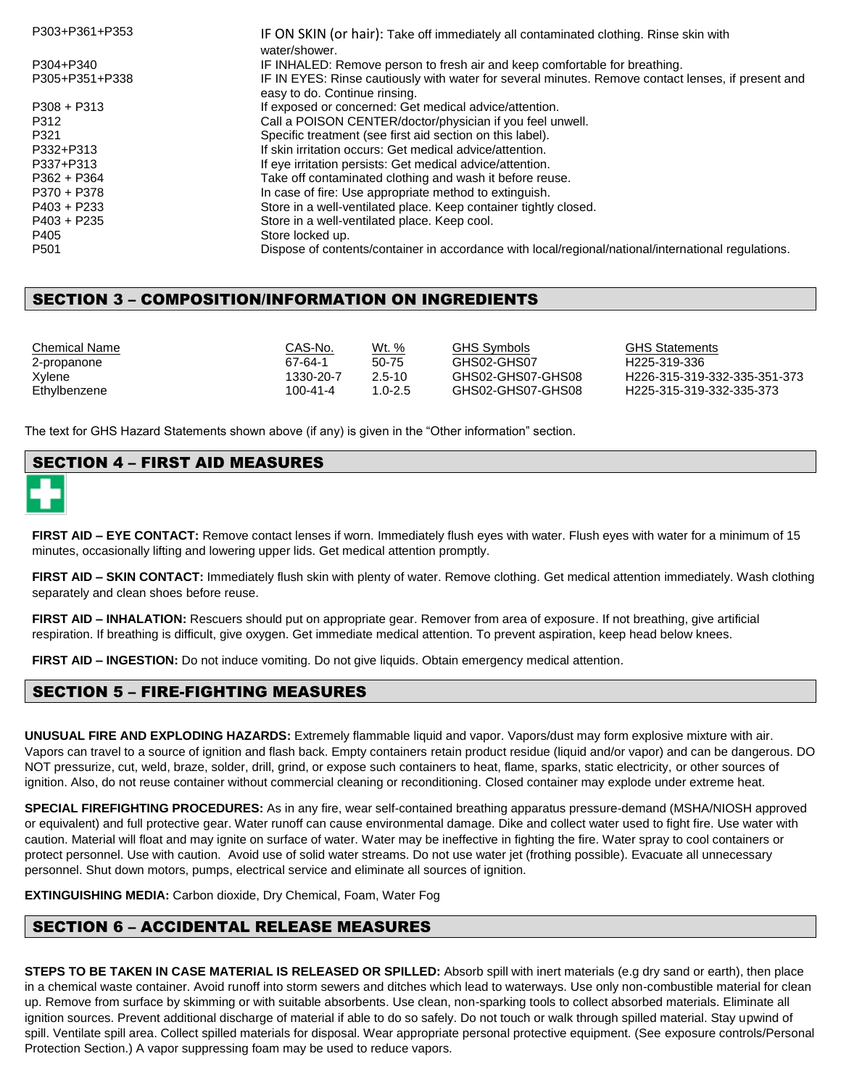| P303+P361+P353   | IF ON SKIN (or hair): Take off immediately all contaminated clothing. Rinse skin with<br>water/shower.                              |
|------------------|-------------------------------------------------------------------------------------------------------------------------------------|
| P304+P340        | IF INHALED: Remove person to fresh air and keep comfortable for breathing.                                                          |
| P305+P351+P338   | IF IN EYES: Rinse cautiously with water for several minutes. Remove contact lenses, if present and<br>easy to do. Continue rinsing. |
| $P308 + P313$    | If exposed or concerned: Get medical advice/attention.                                                                              |
| P312             | Call a POISON CENTER/doctor/physician if you feel unwell.                                                                           |
| P321             | Specific treatment (see first aid section on this label).                                                                           |
| P332+P313        | If skin irritation occurs: Get medical advice/attention.                                                                            |
| P337+P313        | If eye irritation persists: Get medical advice/attention.                                                                           |
| P362 + P364      | Take off contaminated clothing and wash it before reuse.                                                                            |
| P370 + P378      | In case of fire: Use appropriate method to extinguish.                                                                              |
| $P403 + P233$    | Store in a well-ventilated place. Keep container tightly closed.                                                                    |
| P403 + P235      | Store in a well-ventilated place. Keep cool.                                                                                        |
| P405             | Store locked up.                                                                                                                    |
| P <sub>501</sub> | Dispose of contents/container in accordance with local/regional/national/international regulations.                                 |

# SECTION 3 – COMPOSITION/INFORMATION ON INGREDIENTS

| Chemical Name | CAS-No.   | Wt. %   | <b>GHS Symbols</b> | <b>GHS Statements</b>        |
|---------------|-----------|---------|--------------------|------------------------------|
| 2-propanone   | 67-64-1   | 50-75   | GHS02-GHS07        | H <sub>225</sub> -319-336    |
| Xylene        | 1330-20-7 | $25-10$ | GHS02-GHS07-GHS08  | H226-315-319-332-335-351-373 |
| Ethylbenzene  | 100-41-4  | 1.0-2.5 | GHS02-GHS07-GHS08  | H225-315-319-332-335-373     |

The text for GHS Hazard Statements shown above (if any) is given in the "Other information" section.

## SECTION 4 – FIRST AID MEASURES



FIRST AID - EYE CONTACT: Remove contact lenses if worn. Immediately flush eyes with water. Flush eyes with water for a minimum of 15 minutes, occasionally lifting and lowering upper lids. Get medical attention promptly.

**FIRST AID – SKIN CONTACT:** Immediately flush skin with plenty of water. Remove clothing. Get medical attention immediately. Wash clothing separately and clean shoes before reuse.

**FIRST AID – INHALATION:** Rescuers should put on appropriate gear. Remover from area of exposure. If not breathing, give artificial respiration. If breathing is difficult, give oxygen. Get immediate medical attention. To prevent aspiration, keep head below knees.

**FIRST AID – INGESTION:** Do not induce vomiting. Do not give liquids. Obtain emergency medical attention.

## SECTION 5 – FIRE-FIGHTING MEASURES

**UNUSUAL FIRE AND EXPLODING HAZARDS:** Extremely flammable liquid and vapor. Vapors/dust may form explosive mixture with air. Vapors can travel to a source of ignition and flash back. Empty containers retain product residue (liquid and/or vapor) and can be dangerous. DO NOT pressurize, cut, weld, braze, solder, drill, grind, or expose such containers to heat, flame, sparks, static electricity, or other sources of ignition. Also, do not reuse container without commercial cleaning or reconditioning. Closed container may explode under extreme heat.

**SPECIAL FIREFIGHTING PROCEDURES:** As in any fire, wear self-contained breathing apparatus pressure-demand (MSHA/NIOSH approved or equivalent) and full protective gear. Water runoff can cause environmental damage. Dike and collect water used to fight fire. Use water with caution. Material will float and may ignite on surface of water. Water may be ineffective in fighting the fire. Water spray to cool containers or protect personnel. Use with caution. Avoid use of solid water streams. Do not use water jet (frothing possible). Evacuate all unnecessary personnel. Shut down motors, pumps, electrical service and eliminate all sources of ignition.

**EXTINGUISHING MEDIA:** Carbon dioxide, Dry Chemical, Foam, Water Fog

# SECTION 6 – ACCIDENTAL RELEASE MEASURES

**STEPS TO BE TAKEN IN CASE MATERIAL IS RELEASED OR SPILLED:** Absorb spill with inert materials (e.g dry sand or earth), then place in a chemical waste container. Avoid runoff into storm sewers and ditches which lead to waterways. Use only non-combustible material for clean up. Remove from surface by skimming or with suitable absorbents. Use clean, non-sparking tools to collect absorbed materials. Eliminate all ignition sources. Prevent additional discharge of material if able to do so safely. Do not touch or walk through spilled material. Stay upwind of spill. Ventilate spill area. Collect spilled materials for disposal. Wear appropriate personal protective equipment. (See exposure controls/Personal Protection Section.) A vapor suppressing foam may be used to reduce vapors.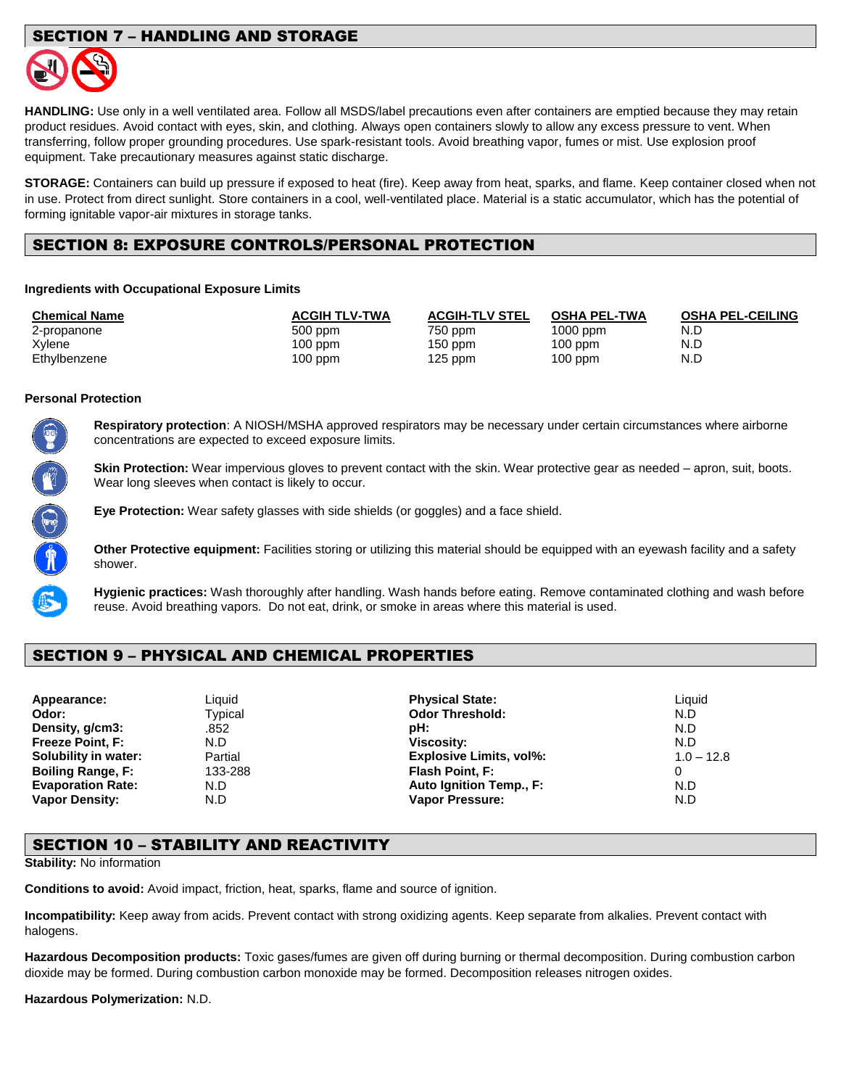# SECTION 7 – HANDLING AND STORAGE



**HANDLING:** Use only in a well ventilated area. Follow all MSDS/label precautions even after containers are emptied because they may retain product residues. Avoid contact with eyes, skin, and clothing. Always open containers slowly to allow any excess pressure to vent. When transferring, follow proper grounding procedures. Use spark-resistant tools. Avoid breathing vapor, fumes or mist. Use explosion proof equipment. Take precautionary measures against static discharge.

**STORAGE:** Containers can build up pressure if exposed to heat (fire). Keep away from heat, sparks, and flame. Keep container closed when not in use. Protect from direct sunlight. Store containers in a cool, well-ventilated place. Material is a static accumulator, which has the potential of forming ignitable vapor-air mixtures in storage tanks.

# SECTION 8: EXPOSURE CONTROLS/PERSONAL PROTECTION

#### **Ingredients with Occupational Exposure Limits**

| <b>Chemical Name</b> | <b>ACGIH TLV-TWA</b> | <b>ACGIH-TLV STEL</b> | <b>OSHA PEL-TWA</b> | <b>OSHA PEL-CEILING</b> |
|----------------------|----------------------|-----------------------|---------------------|-------------------------|
| 2-propanone          | 500 ppm              | 750 ppm               | $1000$ ppm          | N.D                     |
| Xylene               | $100$ ppm            | 150 ppm               | $100$ ppm           | N.D                     |
| Ethylbenzene         | 100 ppm              | $125$ ppm             | $100$ ppm           | N.D                     |

#### **Personal Protection**

CO CO

**Respiratory protection**: A NIOSH/MSHA approved respirators may be necessary under certain circumstances where airborne concentrations are expected to exceed exposure limits.

**Skin Protection:** Wear impervious gloves to prevent contact with the skin. Wear protective gear as needed – apron, suit, boots. Wear long sleeves when contact is likely to occur.

**Eye Protection:** Wear safety glasses with side shields (or goggles) and a face shield.

**Other Protective equipment:** Facilities storing or utilizing this material should be equipped with an eyewash facility and a safety shower.

**Hygienic practices:** Wash thoroughly after handling. Wash hands before eating. Remove contaminated clothing and wash before reuse. Avoid breathing vapors. Do not eat, drink, or smoke in areas where this material is used.

## SECTION 9 – PHYSICAL AND CHEMICAL PROPERTIES

**Appearance:** Liquid **Physical State:** Liquid **Odor:** Typical **Typical Codor Threshold:** N.D **Density, g/cm3:** .852 .852 .852 .8. **pH:** .8. **pH:** .8. **pH:** .8. **pH:** .8. **pH:** .8. **pH:** .8. **pH:** .8. **pH:** .8. **pH:** .8. **pH:** .8. **pH:** .8. **pH:** .8. **pH:** .8. **pH:** .8. **pH:** .8. **pH:** .8. **pH:** .8. **pH:** .8. **pH: Freeze Point, F:** N.D **Viscosity:** N.D **Solubility in water:** Partial **Explosive Limits, vol%:** 1.0 – 12.8 **Boiling Range, F:** 133-288 **Flash Point, F:** 0 Evaporation Rate: N.D Auto Ignition Temp., F: N.D<br> N.D Vapor Pressure: N.D **Vapor Density:** N.D **Vapor Pressure:** N.D

# SECTION 10 – STABILITY AND REACTIVITY

#### **Stability:** No information

**Conditions to avoid:** Avoid impact, friction, heat, sparks, flame and source of ignition.

**Incompatibility:** Keep away from acids. Prevent contact with strong oxidizing agents. Keep separate from alkalies. Prevent contact with halogens.

**Hazardous Decomposition products:** Toxic gases/fumes are given off during burning or thermal decomposition. During combustion carbon dioxide may be formed. During combustion carbon monoxide may be formed. Decomposition releases nitrogen oxides.

**Hazardous Polymerization:** N.D.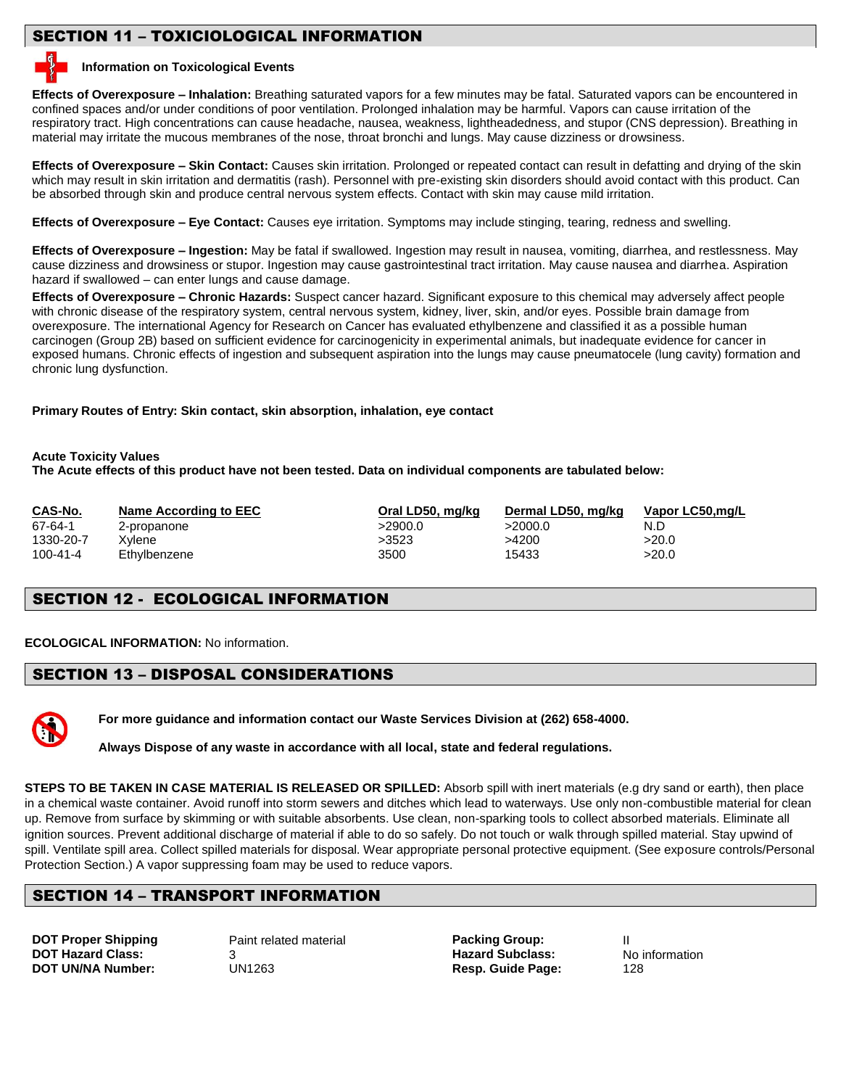# SECTION 11 – TOXICIOLOGICAL INFORMATION

### **Information on Toxicological Events**

**Effects of Overexposure – Inhalation:** Breathing saturated vapors for a few minutes may be fatal. Saturated vapors can be encountered in confined spaces and/or under conditions of poor ventilation. Prolonged inhalation may be harmful. Vapors can cause irritation of the respiratory tract. High concentrations can cause headache, nausea, weakness, lightheadedness, and stupor (CNS depression). Breathing in material may irritate the mucous membranes of the nose, throat bronchi and lungs. May cause dizziness or drowsiness.

**Effects of Overexposure – Skin Contact:** Causes skin irritation. Prolonged or repeated contact can result in defatting and drying of the skin which may result in skin irritation and dermatitis (rash). Personnel with pre-existing skin disorders should avoid contact with this product. Can be absorbed through skin and produce central nervous system effects. Contact with skin may cause mild irritation.

**Effects of Overexposure – Eye Contact:** Causes eye irritation. Symptoms may include stinging, tearing, redness and swelling.

**Effects of Overexposure – Ingestion:** May be fatal if swallowed. Ingestion may result in nausea, vomiting, diarrhea, and restlessness. May cause dizziness and drowsiness or stupor. Ingestion may cause gastrointestinal tract irritation. May cause nausea and diarrhea. Aspiration hazard if swallowed – can enter lungs and cause damage.

**Effects of Overexposure – Chronic Hazards:** Suspect cancer hazard. Significant exposure to this chemical may adversely affect people with chronic disease of the respiratory system, central nervous system, kidney, liver, skin, and/or eyes. Possible brain damage from overexposure. The international Agency for Research on Cancer has evaluated ethylbenzene and classified it as a possible human carcinogen (Group 2B) based on sufficient evidence for carcinogenicity in experimental animals, but inadequate evidence for cancer in exposed humans. Chronic effects of ingestion and subsequent aspiration into the lungs may cause pneumatocele (lung cavity) formation and chronic lung dysfunction.

### **Primary Routes of Entry: Skin contact, skin absorption, inhalation, eye contact**

### **Acute Toxicity Values**

**The Acute effects of this product have not been tested. Data on individual components are tabulated below:** 

| CAS-No.   | Name According to EEC | Oral LD50, mg/kg | Dermal LD50, mg/kg | Vapor LC50.mg/L |
|-----------|-----------------------|------------------|--------------------|-----------------|
| 67-64-1   | 2-propanone           | >2900.0          | >2000.0            | N.D             |
| 1330-20-7 | Xvlene                | >3523            | >4200              | >20.0           |
| 100-41-4  | Ethylbenzene          | 3500             | 15433              | >20.0           |

# SECTION 12 - ECOLOGICAL INFORMATION

**ECOLOGICAL INFORMATION:** No information.

## SECTION 13 – DISPOSAL CONSIDERATIONS



**For more guidance and information contact our Waste Services Division at (262) 658-4000.**

**Always Dispose of any waste in accordance with all local, state and federal regulations.** 

**STEPS TO BE TAKEN IN CASE MATERIAL IS RELEASED OR SPILLED:** Absorb spill with inert materials (e.g dry sand or earth), then place in a chemical waste container. Avoid runoff into storm sewers and ditches which lead to waterways. Use only non-combustible material for clean up. Remove from surface by skimming or with suitable absorbents. Use clean, non-sparking tools to collect absorbed materials. Eliminate all ignition sources. Prevent additional discharge of material if able to do so safely. Do not touch or walk through spilled material. Stay upwind of spill. Ventilate spill area. Collect spilled materials for disposal. Wear appropriate personal protective equipment. (See exposure controls/Personal Protection Section.) A vapor suppressing foam may be used to reduce vapors.

## SECTION 14 – TRANSPORT INFORMATION

**DOT Proper Shipping** Paint related material **Packing Group:** II<br> **PARE REGIST:** POT Hazard Class: A REGISTER SUBCLASS: **DOT UN/NA Number:** UN1263 **Resp. Guide Page:** 128

**DOT Hazard Class:** 3 **Hazard Subclass:** No information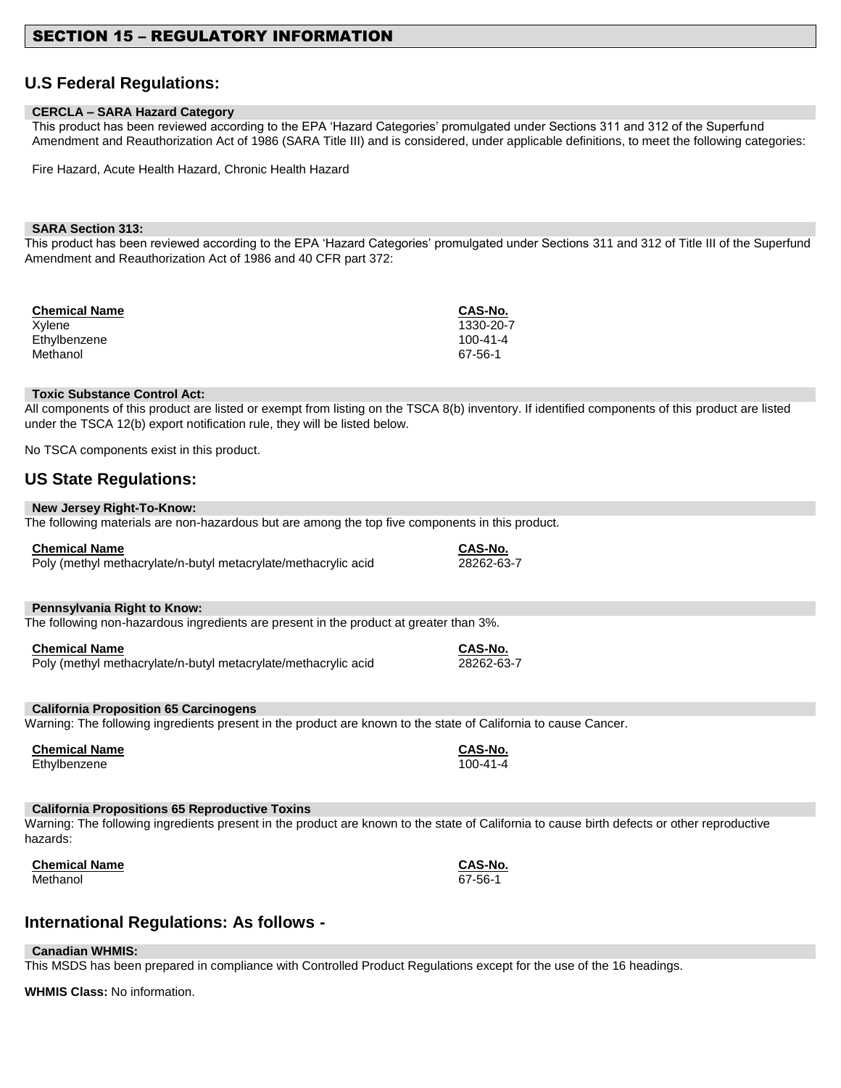# SECTION 15 – REGULATORY INFORMATION

# **U.S Federal Regulations:**

#### **CERCLA – SARA Hazard Category**

This product has been reviewed according to the EPA 'Hazard Categories' promulgated under Sections 311 and 312 of the Superfund Amendment and Reauthorization Act of 1986 (SARA Title III) and is considered, under applicable definitions, to meet the following categories:

Fire Hazard, Acute Health Hazard, Chronic Health Hazard

#### **SARA Section 313:**

This product has been reviewed according to the EPA 'Hazard Categories' promulgated under Sections 311 and 312 of Title III of the Superfund Amendment and Reauthorization Act of 1986 and 40 CFR part 372:

| <b>Chemical Name</b> | CAS-No.        |
|----------------------|----------------|
| Xylene               | 1330-20-7      |
| Ethylbenzene         | $100 - 41 - 4$ |
| Methanol             | 67-56-1        |

#### **Toxic Substance Control Act:**

All components of this product are listed or exempt from listing on the TSCA 8(b) inventory. If identified components of this product are listed under the TSCA 12(b) export notification rule, they will be listed below.

No TSCA components exist in this product.

# **US State Regulations:**

### **New Jersey Right-To-Know:**

|  | The following materials are non-hazardous but are among the top five components in this product. |
|--|--------------------------------------------------------------------------------------------------|

| <b>Chemical Name</b>                                           | CAS-No.    |
|----------------------------------------------------------------|------------|
| Poly (methyl methacrylate/n-butyl metacrylate/methacrylic acid | 28262-63-7 |

#### **Pennsylvania Right to Know:**

The following non-hazardous ingredients are present in the product at greater than 3%.

| <b>Chemical Name</b>                                           | CAS-No.    |
|----------------------------------------------------------------|------------|
| Poly (methyl methacrylate/n-butyl metacrylate/methacrylic acid | 28262-63-7 |

#### **California Proposition 65 Carcinogens**

Warning: The following ingredients present in the product are known to the state of California to cause Cancer.

| <b>Chemical Name</b> | <b>CAS-No.</b> |
|----------------------|----------------|
| Ethylbenzene         | $100 - 41 - 4$ |

#### **California Propositions 65 Reproductive Toxins**

Warning: The following ingredients present in the product are known to the state of California to cause birth defects or other reproductive hazards:

**Chemical Name CAS-No.** 

Methanol 67-56-1

# **International Regulations: As follows -**

#### **Canadian WHMIS:**

This MSDS has been prepared in compliance with Controlled Product Regulations except for the use of the 16 headings.

**WHMIS Class:** No information.